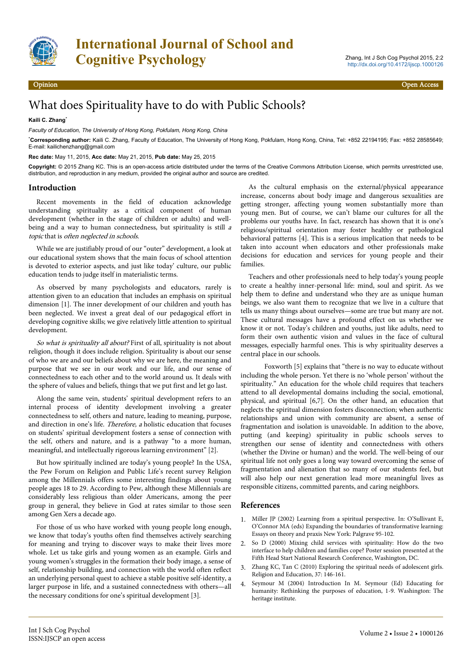

## What does Spirituality have to do with Public Schools?

## **Kaili C. Zhang**\*

*Faculty of Education, The University of Hong Kong, Pokfulam, Hong Kong, China*

\***Corresponding author:** Kaili C. Zhang, Faculty of Education, The University of Hong Kong, Pokfulam, Hong Kong, China, Tel: +852 22194195; Fax: +852 28585649; E-mail: kailichenzhang@gmail.com

**Rec date:** May 11, 2015, **Acc date:** May 21, 2015, **Pub date:** May 25, 2015

**Copyright:** © 2015 Zhang KC. This is an open-access article distributed under the terms of the Creative Commons Attribution License, which permits unrestricted use, distribution, and reproduction in any medium, provided the original author and source are credited.

## **Introduction**

Recent movements in the field of education acknowledge understanding spirituality as a critical component of human development (whether in the stage of children or adults) and wellbeing and a way to human connectedness, but spirituality is still <sup>a</sup> topic that is often neglected in schools.

While we are justifiably proud of our "outer" development, a look at our educational system shows that the main focus of school attention is devoted to exterior aspects, and just like today' culture, our public education tends to judge itself in materialistic terms.

As observed by many psychologists and educators, rarely is attention given to an education that includes an emphasis on spiritual dimension [1]. The inner development of our children and youth has been neglected. We invest a great deal of our pedagogical effort in developing cognitive skills; we give relatively little attention to spiritual development.

So what is spirituality all about? First of all, spirituality is not about religion, though it does include religion. Spirituality is about our sense of who we are and our beliefs about why we are here, the meaning and purpose that we see in our work and our life, and our sense of connectedness to each other and to the world around us. It deals with the sphere of values and beliefs, things that we put first and let go last.

Along the same vein, students' spiritual development refers to an internal process of identity development involving a greater connectedness to self, others and nature, leading to meaning, purpose, and direction in one's life. Therefore, a holistic education that focuses on students' spiritual development fosters a sense of connection with the self, others and nature, and is a pathway "to a more human, meaningful, and intellectually rigorous learning environment" [2].

But how spiritually inclined are today's young people? In the USA, the Pew Forum on Religion and Public Life's recent survey Religion among the Millennials offers some interesting findings about young people ages 18 to 29. According to Pew, although these Millennials are considerably less religious than older Americans, among the peer group in general, they believe in God at rates similar to those seen among Gen Xers a decade ago.

For those of us who have worked with young people long enough, we know that today's youths often find themselves actively searching for meaning and trying to discover ways to make their lives more whole. Let us take girls and young women as an example. Girls and young women's struggles in the formation their body image, a sense of self, relationship building, and connection with the world often reflect an underlying personal quest to achieve a stable positive self-identity, a larger purpose in life, and a sustained connectedness with others—all the necessary conditions for one's spiritual development [3].

As the cultural emphasis on the external/physical appearance increase, concerns about body image and dangerous sexualities are getting stronger, affecting young women substantially more than young men. But of course, we can't blame our cultures for all the problems our youths have. In fact, research has shown that it is one's religious/spiritual orientation may foster healthy or pathological behavioral patterns [4]. This is a serious implication that needs to be taken into account when educators and other professionals make decisions for education and services for young people and their families.

Teachers and other professionals need to help today's young people to create a healthy inner-personal life: mind, soul and spirit. As we help them to define and understand who they are as unique human beings, we also want them to recognize that we live in a culture that tells us many things about ourselves—some are true but many are not. These cultural messages have a profound effect on us whether we know it or not. Today's children and youths, just like adults, need to form their own authentic vision and values in the face of cultural messages, especially harmful ones. This is why spirituality deserves a central place in our schools.

Foxworth [5] explains that "there is no way to educate without including the whole person. Yet there is no 'whole person' without the spirituality." An education for the whole child requires that teachers attend to all developmental domains including the social, emotional, physical, and spiritual [6,7]. On the other hand, an education that neglects the spiritual dimension fosters disconnection; when authentic relationships and union with community are absent, a sense of fragmentation and isolation is unavoidable. In addition to the above, putting (and keeping) spirituality in public schools serves to strengthen our sense of identity and connectedness with others (whether the Divine or human) and the world. The well-being of our spiritual life not only goes a long way toward overcoming the sense of fragmentation and alienation that so many of our students feel, but will also help our next generation lead more meaningful lives as responsible citizens, committed parents, and caring neighbors.

## **References**

- 1. [Miller JP \(2002\) Learning from a spiritual perspective. In: O'Sullivant E,](http://www.pubfacts.com/fulltext_frame.php?PMID=22258734&title=What%20I%20look%20like:%20college%20women,%20body%20image,%20and%20spirituality.) [O'Connor MA \(eds\) Expanding the boundaries of transformative learning:](http://www.pubfacts.com/fulltext_frame.php?PMID=22258734&title=What%20I%20look%20like:%20college%20women,%20body%20image,%20and%20spirituality.) [Essays on theory and praxis New York: Palgrave 95-102.](http://www.pubfacts.com/fulltext_frame.php?PMID=22258734&title=What%20I%20look%20like:%20college%20women,%20body%20image,%20and%20spirituality.)
- 2. [So D \(2000\) Mixing child services with spirituality: How do the two](http://mistie.cogbill.net/files/9013/7894/9916/Religion_Disabilities_Child_80026295.pdf) [interface to help children and families cope? Poster session presented at the](http://mistie.cogbill.net/files/9013/7894/9916/Religion_Disabilities_Child_80026295.pdf) [Fifth Head Start National Research Conference, Washington, DC.](http://mistie.cogbill.net/files/9013/7894/9916/Religion_Disabilities_Child_80026295.pdf)
- 3. [Zhang KC, Tan C \(2010\) Exploring the spiritual needs of adolescent girls.](http://w3.nkps.tp.edu.tw/a/anews/data/pub/201009161432180.doc) [Religion and Education, 37: 146-161.](http://w3.nkps.tp.edu.tw/a/anews/data/pub/201009161432180.doc)
- 4. [Seymour M \(2004\) Introduction In M. Seymour \(Ed\) Educating for](https://etd.ohiolink.edu/rws_etd/document/get/osu1148754582/inline) [humanity: Rethinking the purposes of education, 1-9. Washington: The](https://etd.ohiolink.edu/rws_etd/document/get/osu1148754582/inline) [heritage institute.](https://etd.ohiolink.edu/rws_etd/document/get/osu1148754582/inline)